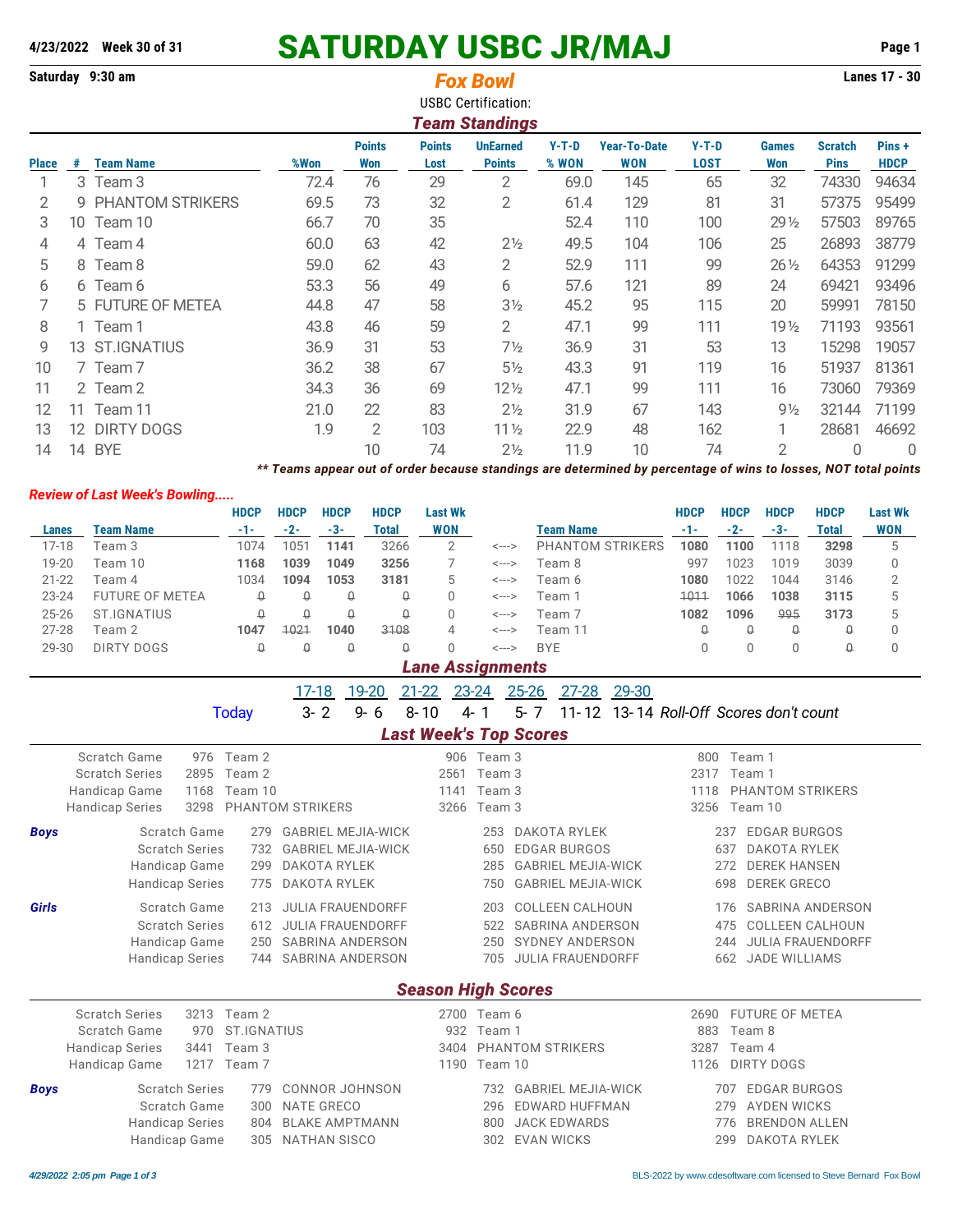# **4/23/2022** Week 30 of 31 **SATURDAY USBC JR/MAJ** Page 1<br> **Saturday** 9:30 am **SATURDAY USBC JR/MAJ**

|              |                                                                                                                                           | Saturday 9:30 am                     |             |             |             |                |                | <b>Fox Bowl</b>               |                  |                                                                                                                 |              |             |                 |              | Lanes 17 - 30  |
|--------------|-------------------------------------------------------------------------------------------------------------------------------------------|--------------------------------------|-------------|-------------|-------------|----------------|----------------|-------------------------------|------------------|-----------------------------------------------------------------------------------------------------------------|--------------|-------------|-----------------|--------------|----------------|
|              |                                                                                                                                           |                                      |             |             |             |                |                | <b>USBC Certification:</b>    |                  |                                                                                                                 |              |             |                 |              |                |
|              | <b>Team Standings</b>                                                                                                                     |                                      |             |             |             |                |                |                               |                  |                                                                                                                 |              |             |                 |              |                |
|              | $Y-T-D$<br><b>Points</b><br><b>Points</b><br><b>UnEarned</b><br><b>Year-To-Date</b><br>$Y-T-D$<br>Pins+<br><b>Scratch</b><br><b>Games</b> |                                      |             |             |             |                |                |                               |                  |                                                                                                                 |              |             |                 |              |                |
| <b>Place</b> | #                                                                                                                                         | <b>Team Name</b>                     |             | %Won        |             | <b>Won</b>     | Lost           | <b>Points</b>                 | % WON            | <b>WON</b>                                                                                                      | <b>LOST</b>  |             | Won             | <b>Pins</b>  | <b>HDCP</b>    |
| 1            |                                                                                                                                           | 3 Team 3                             |             | 72.4        |             | 29<br>76       |                | $\overline{2}$                | 69.0             | 145                                                                                                             |              | 65          | 32              | 74330        | 94634          |
| 2            | q                                                                                                                                         | PHANTOM STRIKERS                     |             |             | 69.5        | 73             | 32             | $\overline{2}$                | 61.4             | 129                                                                                                             | 81           |             | 31              | 57375        | 95499          |
| 3            |                                                                                                                                           | 10 Team 10                           |             |             | 66.7        | 70             | 35             |                               | 52.4             | 110                                                                                                             | 100          |             | 29 1/2          | 57503        | 89765          |
| 4            |                                                                                                                                           | 4 Team 4                             |             |             | 60.0        | 63             | 42             | $2\frac{1}{2}$                | 49.5             | 104                                                                                                             | 106          |             | 25              | 26893        | 38779          |
| 5            |                                                                                                                                           | 8 Team 8                             |             |             | 59.0        | 62             | 43             |                               | 52.9             | 111                                                                                                             | 99           |             | $26\frac{1}{2}$ | 64353        | 91299          |
| 6            |                                                                                                                                           | 6 Team 6                             |             |             | 53.3        | 56             | 49             | 6                             | 57.6             | 121                                                                                                             |              | 89          | 24              | 69421        | 93496          |
| 7            |                                                                                                                                           | 5 FUTURE OF METEA                    |             |             | 44.8        | 47             | 58             | $3\frac{1}{2}$                | 45.2             | 95                                                                                                              |              | 115         |                 | 59991        | 78150          |
| 8            | 1 Team 1                                                                                                                                  |                                      |             | 43.8        | 46          | 59             | 2              | 47.1                          | 99               |                                                                                                                 | 111          |             | 71193           | 93561        |                |
| 9            |                                                                                                                                           | 13 ST.IGNATIUS                       |             |             | 36.9        | 31             | 53             | $7\frac{1}{2}$                | 36.9             | 31                                                                                                              | 53           |             | 13              | 15298        | 19057          |
| 10           |                                                                                                                                           | 7 Team 7                             |             | 36.2        |             | 38             | 67             | $5\frac{1}{2}$                | 43.3             | 91                                                                                                              | 119          |             | 16              | 51937        | 81361          |
| 11           |                                                                                                                                           | 2 Team 2                             |             |             | 34.3        | 36             | 69             | $12\frac{1}{2}$               | 47.1             | 99                                                                                                              | 111          |             | 16              | 73060        | 79369          |
| 12           |                                                                                                                                           | 11 Team 11                           |             |             | 21.0        | 22             | 83             | 2 <sub>2</sub>                | 31.9             | 67                                                                                                              | 143          |             | $9\frac{1}{2}$  | 32144        | 71199          |
| 13           |                                                                                                                                           | 12 DIRTY DOGS                        |             | 1.9         |             | $\overline{2}$ | 103            | 11 <sub>2</sub>               | 22.9             | 48                                                                                                              | 162          |             | 1               | 28681        | 46692          |
| 14           |                                                                                                                                           | 14 BYE                               |             |             |             | 10             | 74             | 2 <sup>1</sup> / <sub>2</sub> | 11.9             | 10                                                                                                              | 74           |             | $\overline{2}$  | $\Omega$     | $\Omega$       |
|              |                                                                                                                                           |                                      |             |             |             |                |                |                               |                  | ** Teams appear out of order because standings are determined by percentage of wins to losses, NOT total points |              |             |                 |              |                |
|              |                                                                                                                                           | <b>Review of Last Week's Bowling</b> |             |             |             |                |                |                               |                  |                                                                                                                 |              |             |                 |              |                |
|              |                                                                                                                                           |                                      | <b>HDCP</b> | <b>HDCP</b> | <b>HDCP</b> | <b>HDCP</b>    | <b>Last Wk</b> |                               |                  |                                                                                                                 | <b>HDCP</b>  | <b>HDCP</b> | <b>HDCP</b>     | <b>HDCP</b>  | <b>Last Wk</b> |
| <b>Lanes</b> |                                                                                                                                           | <b>Team Name</b>                     | $-1-$       | $-2-$       | $-3-$       | <b>Total</b>   | <b>WON</b>     |                               | <b>Team Name</b> |                                                                                                                 | $-1-$        | $-2-$       | $-3-$           | <b>Total</b> | <b>WON</b>     |
| $17 - 18$    |                                                                                                                                           | Team 3                               | 1074        | 1051        | 1141        | 3266           | $\overline{2}$ | <--->                         |                  | PHANTOM STRIKERS                                                                                                | 1080         | 1100        | 1118            | 3298         | 5              |
| 19-20        |                                                                                                                                           | Team 10                              | 1168        | 1039        | 1049        | 3256           | 7              | <--->                         | Team 8           |                                                                                                                 | 997          | 1023        | 1019            | 3039         | 0              |
| $21 - 22$    |                                                                                                                                           | Team 4                               | 1034        | 1094        | 1053        | 3181           | 5              | <--->                         | Team 6           |                                                                                                                 | 1080         | 1022        | 1044            | 3146         | 2              |
| 23-24        |                                                                                                                                           | <b>FUTURE OF METEA</b>               | $\mathbb Q$ | $\hbox{O}$  | $\mathbb Q$ | $\mathsf{Q}$   | $\Omega$       | <--->                         | Team 1           |                                                                                                                 | 1011<br>1082 | 1066        | 1038            | 3115         | 5              |
| $25 - 26$    |                                                                                                                                           | <b>ST.IGNATIUS</b>                   | $\Omega$    | $\Omega$    | $\Omega$    | $\mathsf{Q}$   | $\Omega$       | <--->                         |                  | Team 7                                                                                                          |              | 1096        | 995             | 3173         | 5              |
| $27 - 28$    |                                                                                                                                           | Team 2                               | 1047        | 1021        | 1040        | 3108           | 4              | <--->                         | Team 11          |                                                                                                                 | $\theta$     | $\theta$    | $\theta$        | $\theta$     | 0              |
| 29-30        |                                                                                                                                           | <b>DIRTY DOGS</b>                    | $\Omega$    | Q           | Q           | $\Omega$       | $\Omega$       | $\leftarrow$ $\rightarrow$    | <b>BYE</b>       |                                                                                                                 | $\Omega$     | $\mathbf 0$ | 0               | $\theta$     | 0              |
|              |                                                                                                                                           |                                      |             |             |             |                |                | <b>Lane Assignments</b>       |                  |                                                                                                                 |              |             |                 |              |                |
|              |                                                                                                                                           |                                      |             |             | $17-18$     | 19-20          | $21 - 22$      | 23-24 25-26                   | $27 - 28$        | 29-30                                                                                                           |              |             |                 |              |                |

| Today |  |  |  | 3- 2 9- 6 8- 10 4- 1 5- 7 11-12 13-14 Roll-Off Scores don't count |
|-------|--|--|--|-------------------------------------------------------------------|
|       |  |  |  |                                                                   |

## *Last Week's Top Scores*

|             | Last week's Top Scores         |                                  |                                  |                                 |  |  |  |  |  |  |  |  |  |  |
|-------------|--------------------------------|----------------------------------|----------------------------------|---------------------------------|--|--|--|--|--|--|--|--|--|--|
|             | Scratch Game<br>976            | Team 2                           | 906 Team 3                       | 800<br>Team 1                   |  |  |  |  |  |  |  |  |  |  |
|             | <b>Scratch Series</b><br>2895  | Team 2                           | 2561<br>Team 3                   | 2317<br>Team 1                  |  |  |  |  |  |  |  |  |  |  |
|             | Handicap Game<br>1168          | Team 10                          | Team 3<br>1141                   | PHANTOM STRIKERS<br>1118        |  |  |  |  |  |  |  |  |  |  |
|             | <b>Handicap Series</b><br>3298 | PHANTOM STRIKERS                 | 3266 Team 3                      | Team 10<br>3256                 |  |  |  |  |  |  |  |  |  |  |
| <b>Boys</b> | Scratch Game                   | <b>GABRIEL MEJIA-WICK</b><br>279 | <b>DAKOTA RYLEK</b><br>253       | <b>EDGAR BURGOS</b><br>237      |  |  |  |  |  |  |  |  |  |  |
|             | <b>Scratch Series</b>          | <b>GABRIEL MEJIA-WICK</b><br>732 | EDGAR BURGOS<br>650              | <b>DAKOTA RYLEK</b><br>637      |  |  |  |  |  |  |  |  |  |  |
|             | Handicap Game                  | DAKOTA RYLEK<br>299              | 285<br><b>GABRIEL MEJIA-WICK</b> | <b>DEREK HANSEN</b><br>272      |  |  |  |  |  |  |  |  |  |  |
|             | <b>Handicap Series</b>         | DAKOTA RYLEK<br>775              | <b>GABRIEL MEJIA-WICK</b><br>750 | <b>DEREK GRECO</b><br>698       |  |  |  |  |  |  |  |  |  |  |
| Girls       | Scratch Game                   | <b>JULIA FRAUENDORFF</b><br>213  | <b>COLLEEN CALHOUN</b><br>203    | <b>SABRINA ANDERSON</b><br>176  |  |  |  |  |  |  |  |  |  |  |
|             | <b>Scratch Series</b>          | <b>JULIA FRAUENDORFF</b><br>612  | <b>SABRINA ANDERSON</b><br>522   | <b>COLLEEN CALHOUN</b><br>475   |  |  |  |  |  |  |  |  |  |  |
|             | Handicap Game                  | <b>SABRINA ANDERSON</b><br>250   | SYDNEY ANDERSON<br>250           | <b>JULIA FRAUENDORFF</b><br>244 |  |  |  |  |  |  |  |  |  |  |
|             | <b>Handicap Series</b>         | 744<br>SABRINA ANDERSON          | <b>JULIA FRAUENDORFF</b><br>705  | <b>JADE WILLIAMS</b><br>662     |  |  |  |  |  |  |  |  |  |  |
|             | <b>Season High Scores</b>      |                                  |                                  |                                 |  |  |  |  |  |  |  |  |  |  |
|             | <b>Scratch Series</b><br>3213  | Team 2                           | 2700<br>Team 6                   | <b>FUTURE OF METEA</b><br>2690  |  |  |  |  |  |  |  |  |  |  |
|             | Scratch Game<br>970            | <b>ST.IGNATIUS</b>               | 932<br>Team 1                    | 883<br>Team 8                   |  |  |  |  |  |  |  |  |  |  |
|             | <b>Handicap Series</b><br>3441 | Team 3                           | PHANTOM STRIKERS<br>3404         | 3287<br>Team 4                  |  |  |  |  |  |  |  |  |  |  |
|             | 1217 Team 7<br>Handicap Game   |                                  | 1190<br>Team 10                  | DIRTY DOGS<br>1126              |  |  |  |  |  |  |  |  |  |  |
| <b>Boys</b> | <b>Scratch Series</b>          | <b>CONNOR JOHNSON</b><br>779     | <b>GABRIEL MEJIA-WICK</b><br>732 | <b>EDGAR BURGOS</b><br>707      |  |  |  |  |  |  |  |  |  |  |
|             | Scratch Game                   | <b>NATE GRECO</b><br>300         | <b>EDWARD HUFFMAN</b><br>296     | <b>AYDEN WICKS</b><br>279       |  |  |  |  |  |  |  |  |  |  |
|             | Handicap Series                | <b>BLAKE AMPTMANN</b><br>804     | <b>JACK EDWARDS</b><br>800       | <b>BRENDON ALLEN</b><br>776     |  |  |  |  |  |  |  |  |  |  |
|             | Handicap Game                  | <b>NATHAN SISCO</b><br>305       | <b>EVAN WICKS</b><br>302         | <b>DAKOTA RYLEK</b><br>299      |  |  |  |  |  |  |  |  |  |  |
|             |                                |                                  |                                  |                                 |  |  |  |  |  |  |  |  |  |  |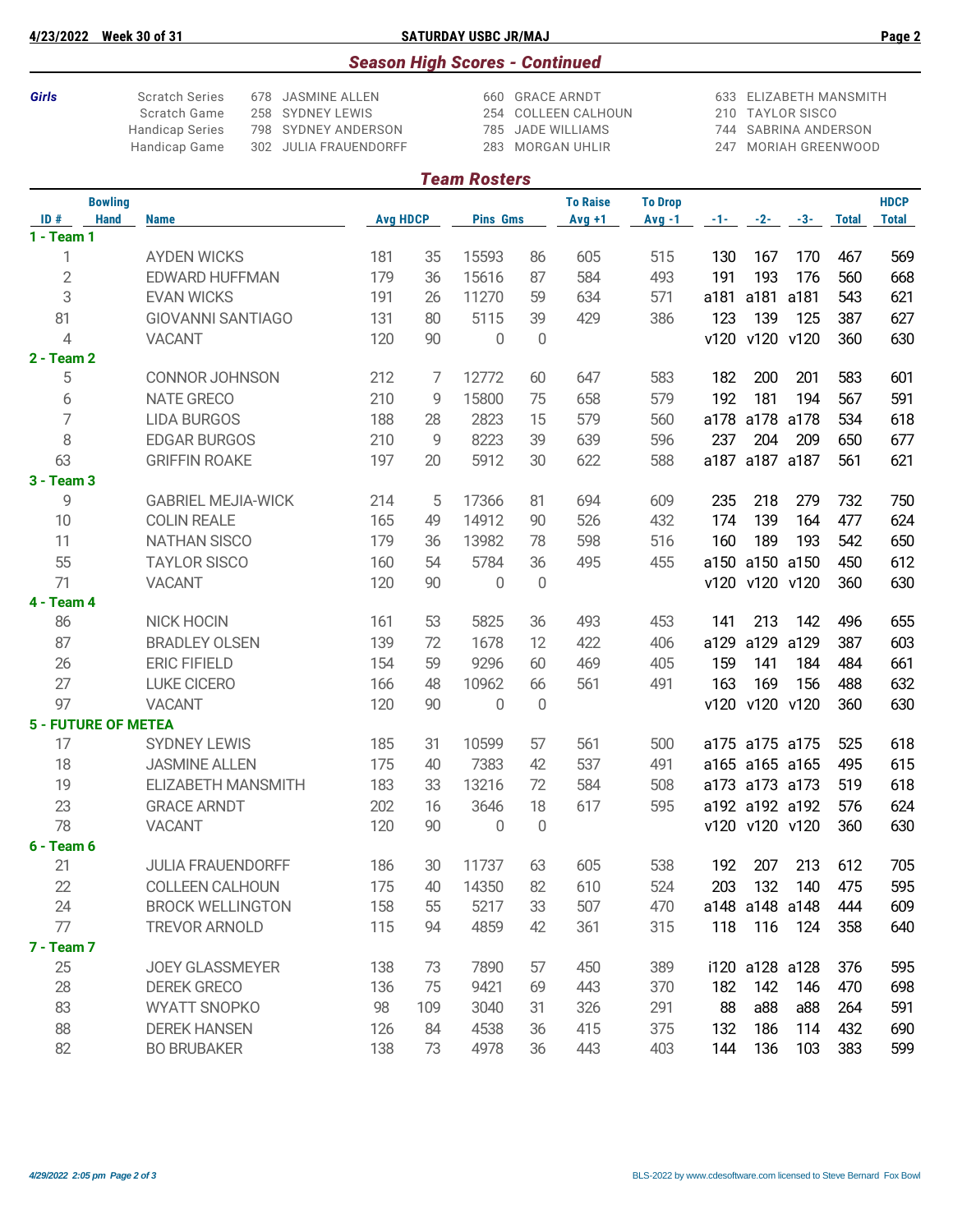**4/23/2022 Week 30 of 31 SATURDAY USBC JR/MAJ Page 2**

### *Season High Scores - Continued*

**Girls** Scratch Series 678 JASMINE ALLEN 660 GRACE ARNDT 633 ELIZABETH MANSMITH<br>Scratch Game 258 SYDNEY LEWIS 254 COLLEEN CALHOUN 210 TAYLOR SISCO

Handicap Series 798 SYDNEY ANDERSON

254 COLLEEN CALHOUN 210 TAYLOR SISCO<br>785 JADE WILLIAMS 244 SABRINA ANDERSON Handicap Game 302 JULIA FRAUENDORFF 283 MORGAN UHLIR 247 MORIAH GREENWOOD

| <b>Team Rosters</b>                                  |  |                           |                 |     |                 |    |                 |                |      |                |       |              |              |
|------------------------------------------------------|--|---------------------------|-----------------|-----|-----------------|----|-----------------|----------------|------|----------------|-------|--------------|--------------|
| <b>Bowling</b><br>ID#<br><b>Hand</b><br>$1 - Team 1$ |  |                           | <b>Avg HDCP</b> |     |                 |    | <b>To Raise</b> | <b>To Drop</b> |      |                |       |              | <b>HDCP</b>  |
|                                                      |  | <b>Name</b>               |                 |     | <b>Pins Gms</b> |    | $Avg +1$        | $Avg -1$       | -1-1 | $-2-$          | $-3-$ | <b>Total</b> | <b>Total</b> |
| 1                                                    |  | <b>AYDEN WICKS</b>        | 181             | 35  | 15593           | 86 | 605             | 515            | 130  | 167            | 170   | 467          | 569          |
| $\sqrt{2}$                                           |  | <b>EDWARD HUFFMAN</b>     | 179             | 36  | 15616           | 87 | 584             | 493            | 191  | 193            | 176   | 560          | 668          |
| 3                                                    |  | <b>EVAN WICKS</b>         | 191             | 26  | 11270           | 59 | 634             | 571            | a181 | a181           | a181  | 543          | 621          |
| 81                                                   |  | <b>GIOVANNI SANTIAGO</b>  | 131             | 80  | 5115            | 39 | 429             | 386            | 123  | 139            | 125   | 387          | 627          |
| $\overline{4}$                                       |  | <b>VACANT</b>             | 120             | 90  | 0               | 0  |                 |                |      | v120 v120      | v120  | 360          | 630          |
| 2 - Team 2                                           |  |                           |                 |     |                 |    |                 |                |      |                |       |              |              |
| 5                                                    |  | <b>CONNOR JOHNSON</b>     | 212             | 7   | 12772           | 60 | 647             | 583            | 182  | 200            | 201   | 583          | 601          |
| 6                                                    |  | <b>NATE GRECO</b>         | 210             | 9   | 15800           | 75 | 658             | 579            | 192  | 181            | 194   | 567          | 591          |
| $\overline{7}$                                       |  | <b>LIDA BURGOS</b>        | 188             | 28  | 2823            | 15 | 579             | 560            | a178 | a178 a178      |       | 534          | 618          |
| 8                                                    |  | <b>EDGAR BURGOS</b>       | 210             | 9   | 8223            | 39 | 639             | 596            | 237  | 204            | 209   | 650          | 677          |
| 63                                                   |  | <b>GRIFFIN ROAKE</b>      | 197             | 20  | 5912            | 30 | 622             | 588            |      | a187 a187 a187 |       | 561          | 621          |
| 3 - Team 3                                           |  |                           |                 |     |                 |    |                 |                |      |                |       |              |              |
| 9                                                    |  | <b>GABRIEL MEJIA-WICK</b> | 214             | 5   | 17366           | 81 | 694             | 609            | 235  | 218            | 279   | 732          | 750          |
| 10                                                   |  | <b>COLIN REALE</b>        | 165             | 49  | 14912           | 90 | 526             | 432            | 174  | 139            | 164   | 477          | 624          |
| 11                                                   |  | <b>NATHAN SISCO</b>       | 179             | 36  | 13982           | 78 | 598             | 516            | 160  | 189            | 193   | 542          | 650          |
| 55                                                   |  | <b>TAYLOR SISCO</b>       | 160             | 54  | 5784            | 36 | 495             | 455            |      | a150 a150 a150 |       | 450          | 612          |
| 71                                                   |  | <b>VACANT</b>             | 120             | 90  | $\mathbf{0}$    | 0  |                 |                |      | v120 v120 v120 |       | 360          | 630          |
| 4 - Team 4                                           |  |                           |                 |     |                 |    |                 |                |      |                |       |              |              |
| 86                                                   |  | NICK HOCIN                | 161             | 53  | 5825            | 36 | 493             | 453            | 141  | 213            | 142   | 496          | 655          |
| 87                                                   |  | <b>BRADLEY OLSEN</b>      | 139             | 72  | 1678            | 12 | 422             | 406            | a129 | a129           | a129  | 387          | 603          |
| 26                                                   |  | <b>ERIC FIFIELD</b>       | 154             | 59  | 9296            | 60 | 469             | 405            | 159  | 141            | 184   | 484          | 661          |
| 27                                                   |  | <b>LUKE CICERO</b>        | 166             | 48  | 10962           | 66 | 561             | 491            | 163  | 169            | 156   | 488          | 632          |
| 97                                                   |  | <b>VACANT</b>             | 120             | 90  | $\overline{0}$  | 0  |                 |                |      | v120 v120 v120 |       | 360          | 630          |
| <b>5 - FUTURE OF METEA</b>                           |  |                           |                 |     |                 |    |                 |                |      |                |       |              |              |
| 17                                                   |  | <b>SYDNEY LEWIS</b>       | 185             | 31  | 10599           | 57 | 561             | 500            |      | a175 a175 a175 |       | 525          | 618          |
| 18                                                   |  | <b>JASMINE ALLEN</b>      | 175             | 40  | 7383            | 42 | 537             | 491            |      | a165 a165 a165 |       | 495          | 615          |
| 19                                                   |  | <b>ELIZABETH MANSMITH</b> | 183             | 33  | 13216           | 72 | 584             | 508            |      | a173 a173 a173 |       | 519          | 618          |
| 23                                                   |  | <b>GRACE ARNDT</b>        | 202             | 16  | 3646            | 18 | 617             | 595            |      | a192 a192 a192 |       | 576          | 624          |
| 78                                                   |  | <b>VACANT</b>             | 120             | 90  | 0               | 0  |                 |                |      | v120 v120 v120 |       | 360          | 630          |
| 6 - Team 6                                           |  |                           |                 |     |                 |    |                 |                |      |                |       |              |              |
| 21                                                   |  | JULIA FRAUENDORFF         | 186             | 30  | 11737           | 63 | 605             | 538            | 192  | 207            | 213   | 612          | 705          |
| 22                                                   |  | <b>COLLEEN CALHOUN</b>    | 175             | 40  | 14350           | 82 | 610             | 524            | 203  | 132            | 140   | 475          | 595          |
| 24                                                   |  | <b>BROCK WELLINGTON</b>   | 158             | 55  | 5217            | 33 | 507             | 470            |      | a148 a148 a148 |       | 444          | 609          |
| 77                                                   |  | <b>TREVOR ARNOLD</b>      | 115             | 94  | 4859            | 42 | 361             | 315            | 118  | 116            | 124   | 358          | 640          |
| <b>7 - Team 7</b>                                    |  |                           |                 |     |                 |    |                 |                |      |                |       |              |              |
| 25                                                   |  | <b>JOEY GLASSMEYER</b>    | 138             | 73  | 7890            | 57 | 450             | 389            |      | i120 a128 a128 |       | 376          | 595          |
| 28                                                   |  | <b>DEREK GRECO</b>        | 136             | 75  | 9421            | 69 | 443             | 370            | 182  | 142            | 146   | 470          | 698          |
| 83                                                   |  | <b>WYATT SNOPKO</b>       | 98              | 109 | 3040            | 31 | 326             | 291            | 88   | a88            | a88   | 264          | 591          |
| 88                                                   |  | <b>DEREK HANSEN</b>       | 126             | 84  | 4538            | 36 | 415             | 375            | 132  | 186            | 114   | 432          | 690          |
| 82                                                   |  | <b>BO BRUBAKER</b>        | 138             | 73  | 4978            | 36 | 443             | 403            | 144  | 136            | 103   | 383          | 599          |